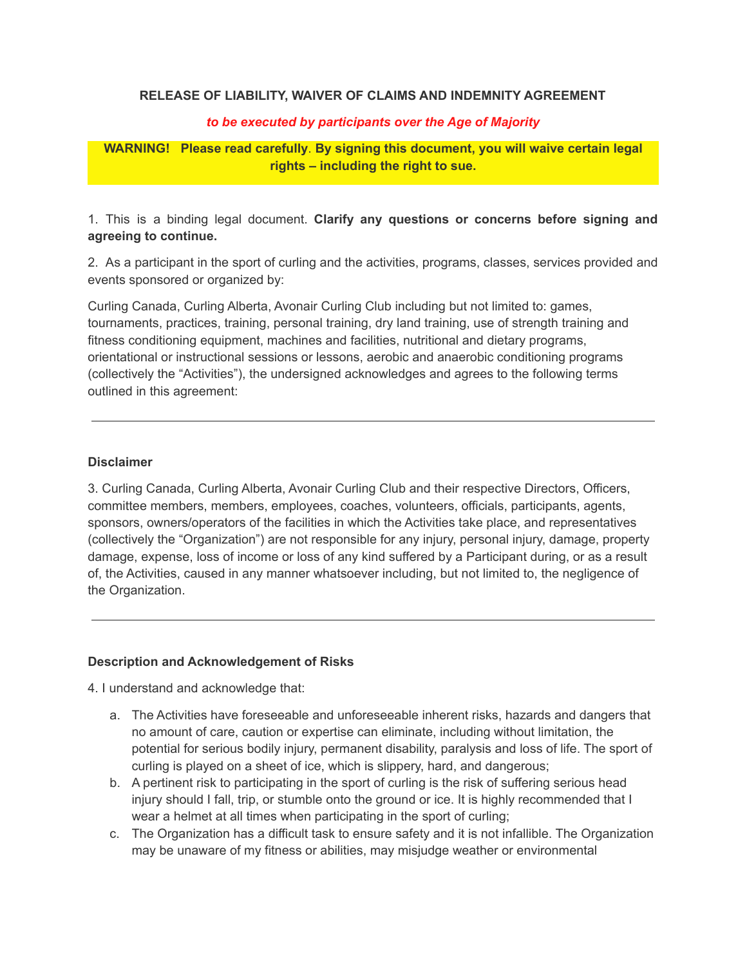#### **RELEASE OF LIABILITY, WAIVER OF CLAIMS AND INDEMNITY AGREEMENT**

#### *to be executed by participants over the Age of Majority*

## **WARNING! Please read carefully**. **By signing this document, you will waive certain legal rights – including the right to sue.**

1. This is a binding legal document. **Clarify any questions or concerns before signing and agreeing to continue.**

2. As a participant in the sport of curling and the activities, programs, classes, services provided and events sponsored or organized by:

Curling Canada, Curling Alberta, Avonair Curling Club including but not limited to: games, tournaments, practices, training, personal training, dry land training, use of strength training and fitness conditioning equipment, machines and facilities, nutritional and dietary programs, orientational or instructional sessions or lessons, aerobic and anaerobic conditioning programs (collectively the "Activities"), the undersigned acknowledges and agrees to the following terms outlined in this agreement:

#### **Disclaimer**

3. Curling Canada, Curling Alberta, Avonair Curling Club and their respective Directors, Officers, committee members, members, employees, coaches, volunteers, officials, participants, agents, sponsors, owners/operators of the facilities in which the Activities take place, and representatives (collectively the "Organization") are not responsible for any injury, personal injury, damage, property damage, expense, loss of income or loss of any kind suffered by a Participant during, or as a result of, the Activities, caused in any manner whatsoever including, but not limited to, the negligence of the Organization.

#### **Description and Acknowledgement of Risks**

4. I understand and acknowledge that:

- a. The Activities have foreseeable and unforeseeable inherent risks, hazards and dangers that no amount of care, caution or expertise can eliminate, including without limitation, the potential for serious bodily injury, permanent disability, paralysis and loss of life. The sport of curling is played on a sheet of ice, which is slippery, hard, and dangerous;
- b. A pertinent risk to participating in the sport of curling is the risk of suffering serious head injury should I fall, trip, or stumble onto the ground or ice. It is highly recommended that I wear a helmet at all times when participating in the sport of curling;
- c. The Organization has a difficult task to ensure safety and it is not infallible. The Organization may be unaware of my fitness or abilities, may misjudge weather or environmental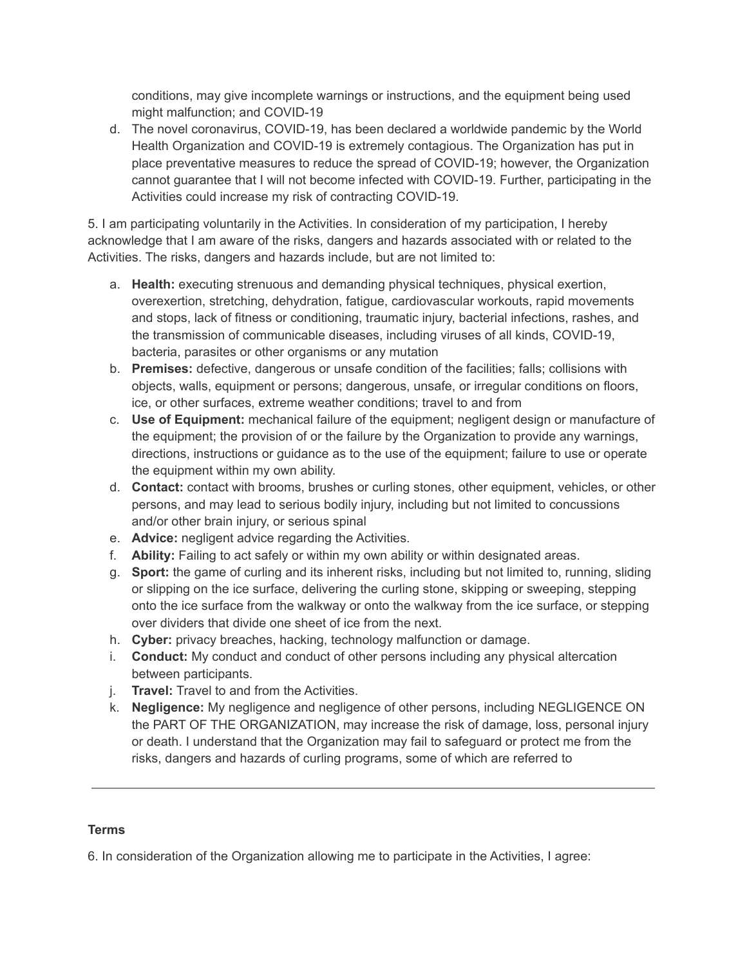conditions, may give incomplete warnings or instructions, and the equipment being used might malfunction; and COVID-19

d. The novel coronavirus, COVID-19, has been declared a worldwide pandemic by the World Health Organization and COVID-19 is extremely contagious. The Organization has put in place preventative measures to reduce the spread of COVID-19; however, the Organization cannot guarantee that I will not become infected with COVID-19. Further, participating in the Activities could increase my risk of contracting COVID-19.

5. I am participating voluntarily in the Activities. In consideration of my participation, I hereby acknowledge that I am aware of the risks, dangers and hazards associated with or related to the Activities. The risks, dangers and hazards include, but are not limited to:

- a. **Health:** executing strenuous and demanding physical techniques, physical exertion, overexertion, stretching, dehydration, fatigue, cardiovascular workouts, rapid movements and stops, lack of fitness or conditioning, traumatic injury, bacterial infections, rashes, and the transmission of communicable diseases, including viruses of all kinds, COVID-19, bacteria, parasites or other organisms or any mutation
- b. **Premises:** defective, dangerous or unsafe condition of the facilities; falls; collisions with objects, walls, equipment or persons; dangerous, unsafe, or irregular conditions on floors, ice, or other surfaces, extreme weather conditions; travel to and from
- c. **Use of Equipment:** mechanical failure of the equipment; negligent design or manufacture of the equipment; the provision of or the failure by the Organization to provide any warnings, directions, instructions or guidance as to the use of the equipment; failure to use or operate the equipment within my own ability.
- d. **Contact:** contact with brooms, brushes or curling stones, other equipment, vehicles, or other persons, and may lead to serious bodily injury, including but not limited to concussions and/or other brain injury, or serious spinal
- e. **Advice:** negligent advice regarding the Activities.
- f. **Ability:** Failing to act safely or within my own ability or within designated areas.
- g. **Sport:** the game of curling and its inherent risks, including but not limited to, running, sliding or slipping on the ice surface, delivering the curling stone, skipping or sweeping, stepping onto the ice surface from the walkway or onto the walkway from the ice surface, or stepping over dividers that divide one sheet of ice from the next.
- h. **Cyber:** privacy breaches, hacking, technology malfunction or damage.
- i. **Conduct:** My conduct and conduct of other persons including any physical altercation between participants.
- j. **Travel:** Travel to and from the Activities.
- k. **Negligence:** My negligence and negligence of other persons, including NEGLIGENCE ON the PART OF THE ORGANIZATION, may increase the risk of damage, loss, personal injury or death. I understand that the Organization may fail to safeguard or protect me from the risks, dangers and hazards of curling programs, some of which are referred to

## **Terms**

6. In consideration of the Organization allowing me to participate in the Activities, I agree: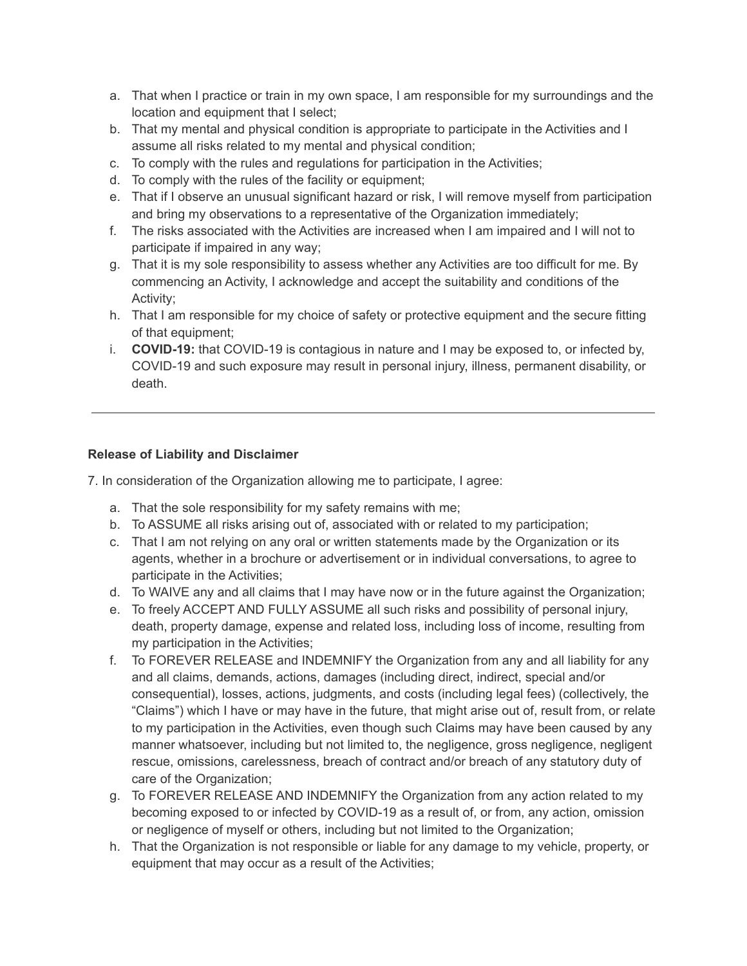- a. That when I practice or train in my own space, I am responsible for my surroundings and the location and equipment that I select;
- b. That my mental and physical condition is appropriate to participate in the Activities and I assume all risks related to my mental and physical condition;
- c. To comply with the rules and regulations for participation in the Activities;
- d. To comply with the rules of the facility or equipment;
- e. That if I observe an unusual significant hazard or risk, I will remove myself from participation and bring my observations to a representative of the Organization immediately;
- f. The risks associated with the Activities are increased when I am impaired and I will not to participate if impaired in any way;
- g. That it is my sole responsibility to assess whether any Activities are too difficult for me. By commencing an Activity, I acknowledge and accept the suitability and conditions of the Activity;
- h. That I am responsible for my choice of safety or protective equipment and the secure fitting of that equipment;
- i. **COVID-19:** that COVID-19 is contagious in nature and I may be exposed to, or infected by, COVID-19 and such exposure may result in personal injury, illness, permanent disability, or death.

### **Release of Liability and Disclaimer**

7. In consideration of the Organization allowing me to participate, I agree:

- a. That the sole responsibility for my safety remains with me;
- b. To ASSUME all risks arising out of, associated with or related to my participation;
- c. That I am not relying on any oral or written statements made by the Organization or its agents, whether in a brochure or advertisement or in individual conversations, to agree to participate in the Activities;
- d. To WAIVE any and all claims that I may have now or in the future against the Organization;
- e. To freely ACCEPT AND FULLY ASSUME all such risks and possibility of personal injury, death, property damage, expense and related loss, including loss of income, resulting from my participation in the Activities;
- f. To FOREVER RELEASE and INDEMNIFY the Organization from any and all liability for any and all claims, demands, actions, damages (including direct, indirect, special and/or consequential), losses, actions, judgments, and costs (including legal fees) (collectively, the "Claims") which I have or may have in the future, that might arise out of, result from, or relate to my participation in the Activities, even though such Claims may have been caused by any manner whatsoever, including but not limited to, the negligence, gross negligence, negligent rescue, omissions, carelessness, breach of contract and/or breach of any statutory duty of care of the Organization;
- g. To FOREVER RELEASE AND INDEMNIFY the Organization from any action related to my becoming exposed to or infected by COVID-19 as a result of, or from, any action, omission or negligence of myself or others, including but not limited to the Organization;
- h. That the Organization is not responsible or liable for any damage to my vehicle, property, or equipment that may occur as a result of the Activities;